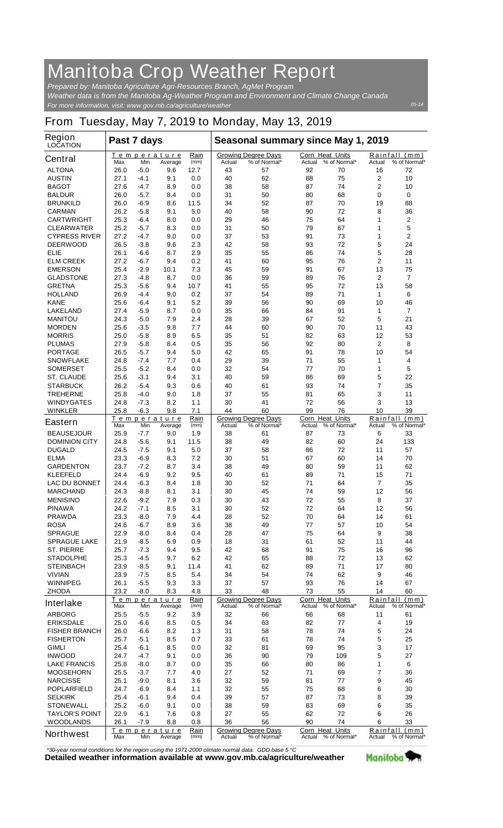## **Manitoba Crop Weather Report**

*For more information, visit: www.gov.mb.ca/agriculture/weather Prepared by: Manitoba Agriculture Agri-Resources Branch, AgMet Program Weather data is from the Manitoba Ag-Weather Program and Environment and Climate Change Canada*

## **From Tuesday, May 7, 2019 to Monday, May 13, 2019**

| <b>Region</b><br><b>LOCATION</b> | Past 7 days |               |                        |                     | Seasonal summary since May 1, 2019 |                                            |                                  |              |                                            |                               |  |
|----------------------------------|-------------|---------------|------------------------|---------------------|------------------------------------|--------------------------------------------|----------------------------------|--------------|--------------------------------------------|-------------------------------|--|
| <b>Central</b>                   | Max         | Min           | Temperature<br>Average | Rain<br>(mm)        | Actual                             | <b>Growing Degree Days</b><br>% of Normal* | <b>Corn Heat Units</b><br>Actual | % of Normal* | Actual                                     | Rainfall (mm)<br>% of Normal* |  |
| <b>ALTONA</b>                    | 26.0        | -5.0          | 9.6                    | 12.7                | 43                                 | 57                                         | 92                               | 70           | 16                                         | 72                            |  |
| <b>AUSTIN</b>                    | 27.1        | $-4.1$        | 9.1                    | 0.0                 | 40                                 | 62                                         | 88                               | 75           | 2                                          | 10                            |  |
| <b>BAGOT</b>                     | 27.6        | -4.7          | 8.9                    | 0.0                 | 38                                 | 58                                         | 87                               | 74           | $\overline{2}$                             | 10                            |  |
| <b>BALDUR</b>                    | 26.0        | -5.7          | 8.4                    | 0.0                 | 31                                 | 50                                         | 80                               | 68           | 0                                          | 0                             |  |
| <b>BRUNKILD</b>                  | 26.0        | $-6.9$        | 8.6                    | 11.5                | 34                                 | 52                                         | 87                               | 70           | 19                                         | 88                            |  |
| <b>CARMAN</b>                    | 26.2        | $-5.8$        | 9.1                    | 5.0                 | 40                                 | 58                                         | 90                               | 72           | 8                                          | 36                            |  |
| <b>CARTWRIGHT</b>                | 25.3        | $-6.4$        | 8.0                    | 0.0                 | 29                                 | 46                                         | 75                               | 64           | 1                                          | 2                             |  |
| <b>CLEARWATER</b>                | 25.2        | -5.7          | 8.3                    | 0.0                 | 31                                 | 50                                         | 79                               | 67           | 1                                          | 5                             |  |
| <b>CYPRESS RIVER</b>             | 27.2        | $-4.7$        | 9.0                    | 0.0                 | 37                                 | 53                                         | 91                               | 73           | 1                                          | 2                             |  |
| <b>DEERWOOD</b>                  | 26.5        | $-3.8$        | 9.6                    | 2.3                 | 42                                 | 58                                         | 93                               | 72           | 5                                          | 24                            |  |
| ELIE                             | 26.1        | $-6.6$        | 8.7                    | 2.9                 | 35                                 | 55                                         | 86                               | 74           | 5                                          | 28                            |  |
| <b>ELM CREEK</b>                 | 27.2        | $-6.7$        | 9.4                    | 0.2                 | 41                                 | 60                                         | 95                               | 76           | $\overline{2}$                             | 11                            |  |
| <b>EMERSON</b>                   | 25.4        | $-2.9$        | 10.1                   | 7.3                 | 45                                 | 59                                         | 91                               | 67           | 13                                         | 75                            |  |
| <b>GLADSTONE</b>                 | 27.3        | $-4.8$        | 8.7                    | 0.0                 | 36                                 | 59                                         | 89                               | 76           | 2                                          | 7                             |  |
| <b>GRETNA</b>                    | 25.3        | -5.6          | 9.4                    | 10.7                | 41                                 | 55                                         | 95                               | 72           | 13                                         | 58                            |  |
| <b>HOLLAND</b>                   | 26.9        | $-4.4$        | 9.0                    | 0.2                 | 37                                 | 54                                         | 89                               | 71           | 1                                          | 6                             |  |
| <b>KANE</b>                      | 25.6        | -6.4          | 9.1                    | 5.2                 | 39                                 | 56                                         | 90                               | 69           | 10                                         | 46                            |  |
| <b>LAKELAND</b>                  | 27.4        | -5.9          | 8.7                    | 0.0                 | 35                                 | 66                                         | 84                               | 91           | 1                                          | 7                             |  |
| <b>MANITOU</b>                   | 24.3        | -5.0          | 7.9                    | 2.4                 | 28                                 | 39                                         | 67                               | 52           | 5                                          | 21                            |  |
| <b>MORDEN</b>                    | 25.6        | $-3.5$        | 9.8                    | 7.7                 | 44                                 | 60                                         | 90                               | 70           | 11                                         | 43                            |  |
| <b>MORRIS</b>                    | 25.0        | $-5.8$        | 8.9                    | 6.5                 | 35                                 | 51                                         | 82                               | 63           | 12                                         | 53                            |  |
| <b>PLUMAS</b>                    | 27.9        | $-5.8$        | 8.4                    | 0.5                 | 35                                 | 56                                         | 92                               | 80           | $\mathbf 2$                                | 8                             |  |
| <b>PORTAGE</b>                   | 26.5        | -5.7          | 9.4                    | 5.0                 | 42                                 | 65                                         | 91                               | 78           | 10                                         | 54                            |  |
| <b>SNOWFLAKE</b>                 | 24.8        | $-7.4$        | 7.7                    | 0.4                 | 29                                 | 39                                         | 71                               | 55           | 1                                          | 4                             |  |
| <b>SOMERSET</b>                  | 25.5        | $-5.2$        | 8.4                    | 0.0                 | 32                                 | 54                                         | 77                               | 70           | 1                                          | 5                             |  |
| <b>ST. CLAUDE</b>                | 25.6        | $-3.1$        | 9.4                    | 3.1                 | 40                                 | 59                                         | 86                               | 69           | 5                                          | 22                            |  |
| <b>STARBUCK</b>                  | 26.2        | $-5.4$        | 9.3                    | 0.6                 | 40                                 | 61                                         | 93                               | 74           | 7                                          | 35                            |  |
| <b>TREHERNE</b>                  | 25.8        | -4.0          | 9.0                    | 1.8                 | 37                                 | 55                                         | 81                               | 65           | 3                                          | 11                            |  |
| <b>WINDYGATES</b>                | 24.8        | -7.3          | 8.2                    | 1.1                 | 30                                 | 41                                         | 72                               | 56           | 3                                          | 13                            |  |
| <b>WINKLER</b>                   | 25.8        | $-6.3$        | 9.8                    | 7.1                 | 44                                 | 60                                         | 99                               | 76           | 10                                         | 39                            |  |
|                                  |             |               | Temperature            | Rain                |                                    | <b>Growing Degree Days</b>                 | Corn Heat Units                  |              | Rainfall                                   | (mm)                          |  |
| <b>Eastern</b>                   | Max         | Min           | Average                | (mm)                | Actual                             | % of Normal*                               | Actual                           | % of Normal* | Actual                                     | % of Normal*                  |  |
| <b>BEAUSEJOUR</b>                | 25.9        | -7.7          | 9.0                    | 1.9                 | 38                                 | 61                                         | 87                               | 73           | 6                                          | 33                            |  |
| <b>DOMINION CITY</b>             | 24.8        | $-5.6$        | 9.1                    | 11.5                | 38                                 | 49                                         | 82                               | 60           | 24                                         | 133                           |  |
| <b>DUGALD</b>                    | 24.5        | -7.5          | 9.1                    | 5.0                 | 37                                 | 58                                         | 86                               | 72           | 11                                         | 57                            |  |
| <b>ELMA</b>                      | 23.3        | $-6.9$        | 8.3                    | 7.2                 | 30                                 | 51                                         | 67                               | 60           | 14                                         | 70                            |  |
| <b>GARDENTON</b>                 | 23.7        | $-7.2$        | 8.7                    | 3.4                 | 38                                 | 49                                         | 80                               | 59           | 11                                         | 62                            |  |
| <b>KLEEFELD</b>                  | 24.4        | $-6.9$        | 9.2                    | 9.5                 | 40                                 | 61                                         | 89                               | 71           | 15                                         | 71                            |  |
| <b>LAC DU BONNET</b>             | 24.4        | $-6.3$        | 8.4                    | 1.8                 | 30                                 | 52                                         | 71                               | 64           | $\overline{7}$                             | 35                            |  |
| <b>MARCHAND</b>                  | 24.3        | -8.8          | 8.1                    | 3.1                 | 30                                 | 45                                         | 74                               | 59           | 12                                         | 56                            |  |
| <b>MENISINO</b>                  | 22.6        | $-9.2$        | 7.9                    | 0.3                 | 30                                 | 43                                         | 72                               | 55           | 8                                          | 37                            |  |
| <b>PINAWA</b>                    | 24.2        | -7.1          | 8.5                    | 3.1                 | 30                                 | 52                                         | 72                               | 64           | 12                                         | 56                            |  |
| <b>PRAWDA</b>                    | 23.3        | -8.0          | 7.9                    | 4.4                 | 28                                 | 52                                         | 70                               | 64           | 14                                         | 61                            |  |
| <b>ROSA</b>                      | 24.6        | -6.7          | 8.9                    | 3.6                 | 38                                 | 49                                         | 77                               | 57           | 10                                         | 54                            |  |
| <b>SPRAGUE</b>                   | 22.9        | -8.0          | 8.4                    | 0.4                 | 28                                 | 47                                         | 75                               | 64           | 9                                          | 38                            |  |
| <b>SPRAGUE LAKE</b>              | 21.9        | -8.5          | 6.9                    | 0.9                 | 18                                 | 31                                         | 61                               | 52           | 11                                         | 44                            |  |
| <b>ST. PIERRE</b>                | 25.7        | $-7.3$        | 9.4                    | 9.5                 | 42                                 | 68                                         | 91                               | 75           | 16                                         | 96                            |  |
| <b>STADOLPHE</b>                 | 25.3        | $-4.5$        | 9.7                    | 6.2                 | 42                                 | 65                                         | 88                               | 72           | 13                                         | 62                            |  |
| <b>STEINBACH</b>                 | 23.9        | -8.5          | 9.1                    | 11.4                | 41                                 | 62                                         | 89                               | 71           | 17                                         | 80                            |  |
| <b>VIVIAN</b>                    | 23.9        | -7.5          | 8.5                    | 5.4                 | 34                                 | 54                                         | 74                               | 62           | 9                                          | 46                            |  |
| <b>WINNIPEG</b>                  | 26.1        | -5.5          | 9.3                    | 3.3                 | 37                                 | 57                                         | 93                               | 76           | 14                                         | 67                            |  |
| <b>ZHODA</b>                     | 23.2        | -8.0          | 8.3                    | 4.8                 | 33                                 | 48                                         | 73                               | 55           | 14                                         | 60                            |  |
| <b>Interlake</b>                 |             |               | <b>Temperature</b>     | Rain                |                                    | <b>Growing Degree Days</b>                 | Corn Heat Units                  | % of Normal* | Rainfall                                   | (mm)                          |  |
| <b>ARBORG</b>                    | Max<br>25.5 | Min<br>$-5.5$ | Average<br>9.2         | (mm)<br>3.9         | Actual<br>32                       | % of Normal*<br>66                         | Actual<br>66                     | 68           | Actual<br>11                               | % of Normal*<br>61            |  |
| <b>ERIKSDALE</b>                 | 25.0        | -6.6          | 8.5                    |                     | 34                                 | 63                                         | 82                               | 77           | 4                                          | 19                            |  |
| <b>FISHER BRANCH</b>             | 26.0        | -6.6          | 8.2                    | 0.5<br>1.3          | 31                                 | 58                                         | 78                               | 74           | 5                                          | 24                            |  |
|                                  |             |               |                        |                     |                                    |                                            | 78                               |              | 5                                          | 25                            |  |
| <b>FISHERTON</b>                 | 25.7        | $-5.1$        | 8.5                    | 0.7                 | 33                                 | 61                                         |                                  | 74           |                                            |                               |  |
| <b>GIMLI</b>                     | 25.4        | -6.1          | 8.5                    | 0.0                 | 32                                 | 81                                         | 69                               | 95           | 3                                          | 17<br>27                      |  |
| <b>INWOOD</b>                    | 24.7        | -4.7          | 9.1                    | 0.0                 | 36                                 | 90                                         | 79                               | 109          | 5                                          |                               |  |
| <b>LAKE FRANCIS</b>              | 25.8        | -8.0          | 8.7                    | 0.0                 | 35                                 | 66                                         | 80                               | 86           | 1                                          | 6                             |  |
| <b>MOOSEHORN</b>                 | 25.5        | $-3.7$        | 7.7                    | 4.0                 | 27                                 | 52                                         | 71                               | 69           | 7                                          | 36                            |  |
| <b>NARCISSE</b>                  | 25.1        | -9.0          | 8.1                    | 3.6                 | 32                                 | 59                                         | 81                               | 77           | 9                                          | 45                            |  |
| <b>POPLARFIELD</b>               | 24.7        | -6.9          | 8.4                    | 1.1                 | 32                                 | 55                                         | 75                               | 68           | 6                                          | 30                            |  |
| <b>SELKIRK</b>                   | 25.4        | $-6.1$        | 9.4                    | 0.4                 | 39                                 | 57                                         | 87                               | 73           | 8                                          | 39                            |  |
| <b>STONEWALL</b>                 | 25.2        | -6.0          | 9.1                    | 0.0                 | 38                                 | 59                                         | 83                               | 69           | 6                                          | 35                            |  |
| <b>TAYLOR'S POINT</b>            | 22.9        | $-6.1$        | 7.6                    | 0.8                 | 27                                 | 55                                         | 62                               | 72           | 6                                          | 26                            |  |
| <b>WOODLANDS</b>                 | 26.1        | $-7.9$        | 8.8                    | 0.8                 | 36                                 | 56                                         | 90                               | 74           | 6                                          | 33                            |  |
| <b>Northwest</b>                 | Max         | Min           | Temperature<br>Average | <u>Rain</u><br>(mm) | Actual                             | <b>Growing Degree Days</b><br>% of Normal* | <b>Corn Heat Units</b><br>Actual | % of Normal* | Rainfall<br>(mm)<br>Actual<br>% of Normal* |                               |  |

*\*30-year normal conditions for the region using the 1971-2000 climate normal data. GDD base 5 °C*<br>Detailed weather information available at www.gov.mb.ca/agriculture/weather